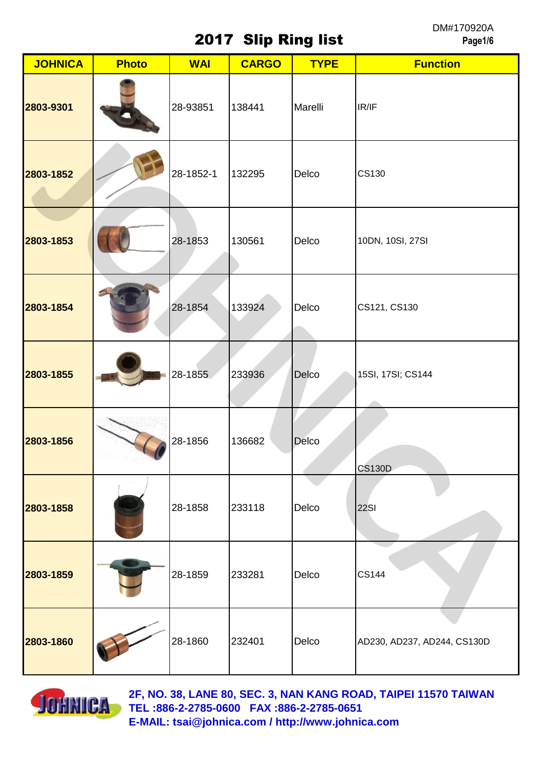2017 Slip Ring list

DM#170920A **Page1/6**

| <b>JOHNICA</b> | <b>Photo</b> | <b>WAI</b> | <b>CARGO</b> | <b>TYPE</b> | <b>Function</b>             |
|----------------|--------------|------------|--------------|-------------|-----------------------------|
| 2803-9301      |              | 28-93851   | 138441       | Marelli     | IR/IF                       |
| 2803-1852      |              | 28-1852-1  | 132295       | Delco       | <b>CS130</b>                |
| 2803-1853      |              | 28-1853    | 130561       | Delco       | 10DN, 10SI, 27SI            |
| 2803-1854      |              | 28-1854    | 133924       | Delco       | CS121, CS130                |
| 2803-1855      |              | 28-1855    | 233936       | Delco       | 15SI, 17SI; CS144           |
| 2803-1856      |              | 28-1856    | 136682       | Delco       | <b>CS130D</b>               |
| 2803-1858      |              | 28-1858    | 233118       | Delco       | <b>22SI</b>                 |
| 2803-1859      |              | 28-1859    | 233281       | Delco       | <b>CS144</b>                |
| 2803-1860      |              | 28-1860    | 232401       | Delco       | AD230, AD237, AD244, CS130D |

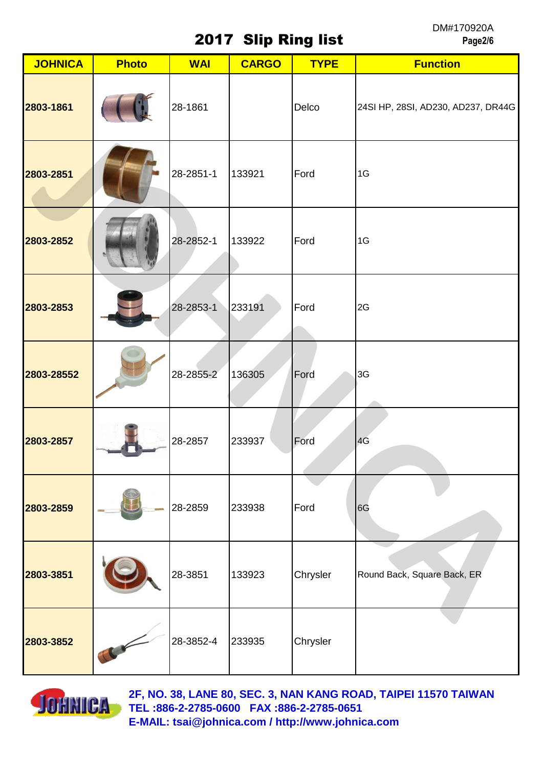## 2017 Slip Ring list

DM#170920A **Page2/6**

| <b>JOHNICA</b> | <b>Photo</b> | <b>WAI</b> | <b>CARGO</b> | <b>TYPE</b> | <b>Function</b>                    |
|----------------|--------------|------------|--------------|-------------|------------------------------------|
| 2803-1861      |              | 28-1861    |              | Delco       | 24SI HP, 28SI, AD230, AD237, DR44G |
| 2803-2851      |              | 28-2851-1  | 133921       | Ford        | 1G                                 |
| 2803-2852      |              | 28-2852-1  | 133922       | Ford        | 1G                                 |
| 2803-2853      |              | 28-2853-1  | 233191       | Ford        | 2G                                 |
| 2803-28552     |              | 28-2855-2  | 136305       | Ford        | 3G                                 |
| 2803-2857      |              | 28-2857    | 233937       | Ford        | 4G                                 |
| 2803-2859      |              | 28-2859    | 233938       | Ford        | 6G                                 |
| 2803-3851      |              | 28-3851    | 133923       | Chrysler    | Round Back, Square Back, ER        |
| 2803-3852      |              | 28-3852-4  | 233935       | Chrysler    |                                    |

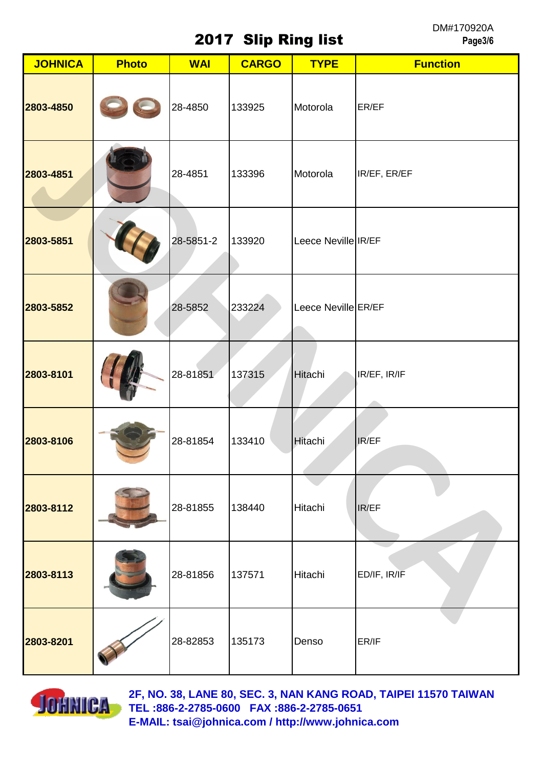2017 Slip Ring list

DM#170920A **Page3/6**

| <b>JOHNICA</b> | <b>Photo</b> | <b>WAI</b> | <b>CARGO</b> | <b>TYPE</b>         | <b>Function</b> |
|----------------|--------------|------------|--------------|---------------------|-----------------|
| 2803-4850      |              | 28-4850    | 133925       | Motorola            | ER/EF           |
| 2803-4851      |              | 28-4851    | 133396       | Motorola            | IR/EF, ER/EF    |
| 2803-5851      |              | 28-5851-2  | 133920       | Leece Neville IR/EF |                 |
| 2803-5852      |              | 28-5852    | 233224       | Leece Neville ER/EF |                 |
| 2803-8101      |              | 28-81851   | 137315       | <b>Hitachi</b>      | IR/EF, IR/IF    |
| 2803-8106      |              | 28-81854   | 133410       | Hitachi             | IR/EF           |
| 2803-8112      |              | 28-81855   | 138440       | Hitachi             | IR/EF           |
| 2803-8113      |              | 28-81856   | 137571       | Hitachi             | ED/IF, IR/IF    |
| 2803-8201      |              | 28-82853   | 135173       | Denso               | ER/IF           |

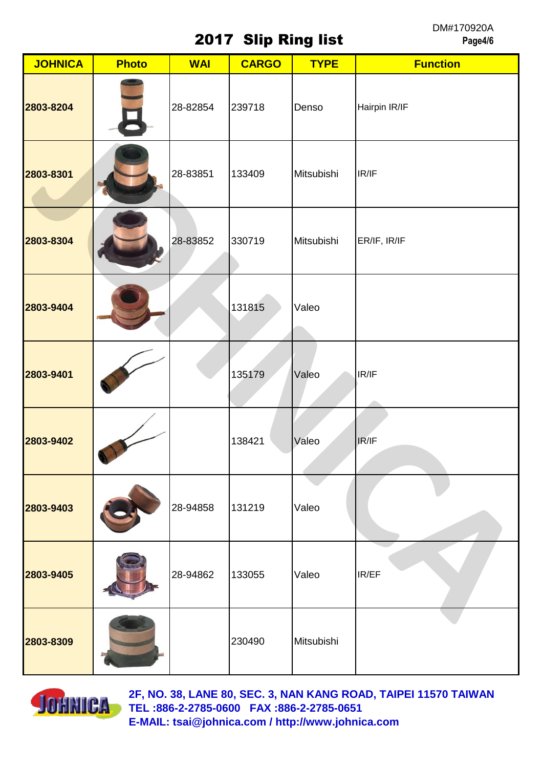2017 Slip Ring list

DM#170920A **Page4/6**

| <b>JOHNICA</b> | <b>Photo</b>            | <b>WAI</b> | <b>CARGO</b> | <b>TYPE</b> | <b>Function</b> |
|----------------|-------------------------|------------|--------------|-------------|-----------------|
| 2803-8204      | $\overline{\mathbf{B}}$ | 28-82854   | 239718       | Denso       | Hairpin IR/IF   |
| 2803-8301      |                         | 28-83851   | 133409       | Mitsubishi  | IR/IF           |
| 2803-8304      |                         | 28-83852   | 330719       | Mitsubishi  | ER/IF, IR/IF    |
| 2803-9404      |                         |            | 131815       | Valeo       |                 |
| 2803-9401      |                         |            | 135179       | Valeo       | IR/IF           |
| 2803-9402      | $\lambda$               |            | 138421       | Valeo       | IR/IF           |
| 2803-9403      |                         | 28-94858   | 131219       | Valeo       |                 |
| 2803-9405      |                         | 28-94862   | 133055       | Valeo       | IR/EF           |
| 2803-8309      |                         |            | 230490       | Mitsubishi  |                 |

![](_page_3_Picture_3.jpeg)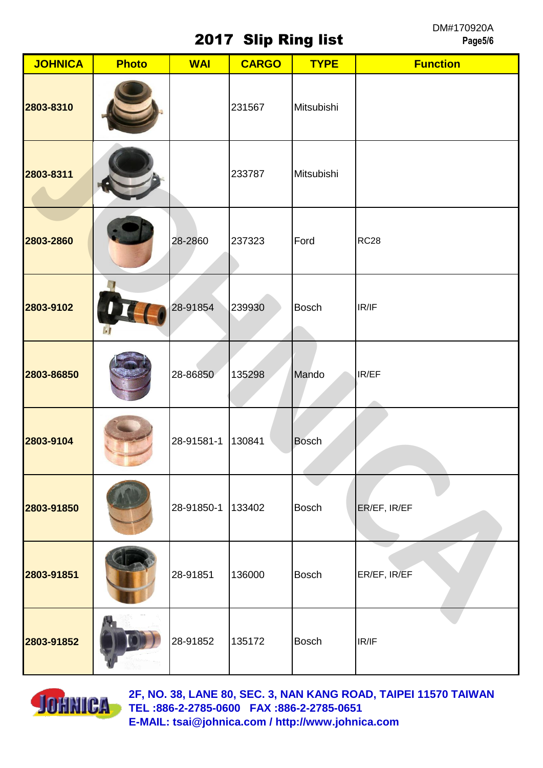## 2017 Slip Ring list

DM#170920A **Page5/6**

| <b>JOHNICA</b> | <b>Photo</b> | <b>WAI</b> | <b>CARGO</b> | <b>TYPE</b>  | <b>Function</b> |
|----------------|--------------|------------|--------------|--------------|-----------------|
| 2803-8310      |              |            | 231567       | Mitsubishi   |                 |
| 2803-8311      |              |            | 233787       | Mitsubishi   |                 |
| 2803-2860      |              | 28-2860    | 237323       | Ford         | <b>RC28</b>     |
| 2803-9102      | $\cdot$      | 28-91854   | 239930       | <b>Bosch</b> | IR/IF           |
| 2803-86850     |              | 28-86850   | 135298       | Mando        | IR/EF           |
| 2803-9104      |              | 28-91581-1 | 130841       | <b>Bosch</b> |                 |
| 2803-91850     |              | 28-91850-1 | 133402       | <b>Bosch</b> | ER/EF, IR/EF    |
| 2803-91851     |              | 28-91851   | 136000       | <b>Bosch</b> | ER/EF, IR/EF    |
| 2803-91852     |              | 28-91852   | 135172       | <b>Bosch</b> | IR/IF           |

![](_page_4_Picture_3.jpeg)